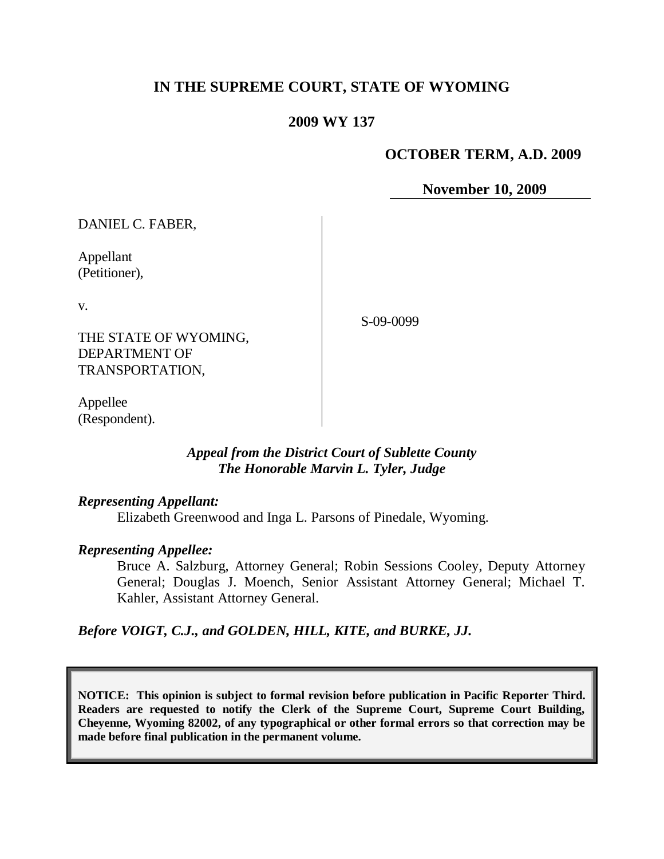# **IN THE SUPREME COURT, STATE OF WYOMING**

# **2009 WY 137**

# **OCTOBER TERM, A.D. 2009**

**November 10, 2009**

DANIEL C. FABER,

Appellant (Petitioner),

v.

S-09-0099

THE STATE OF WYOMING, DEPARTMENT OF TRANSPORTATION,

Appellee (Respondent).

## *Appeal from the District Court of Sublette County The Honorable Marvin L. Tyler, Judge*

#### *Representing Appellant:*

Elizabeth Greenwood and Inga L. Parsons of Pinedale, Wyoming.

## *Representing Appellee:*

Bruce A. Salzburg, Attorney General; Robin Sessions Cooley, Deputy Attorney General; Douglas J. Moench, Senior Assistant Attorney General; Michael T. Kahler, Assistant Attorney General.

*Before VOIGT, C.J., and GOLDEN, HILL, KITE, and BURKE, JJ.*

**NOTICE: This opinion is subject to formal revision before publication in Pacific Reporter Third. Readers are requested to notify the Clerk of the Supreme Court, Supreme Court Building, Cheyenne, Wyoming 82002, of any typographical or other formal errors so that correction may be made before final publication in the permanent volume.**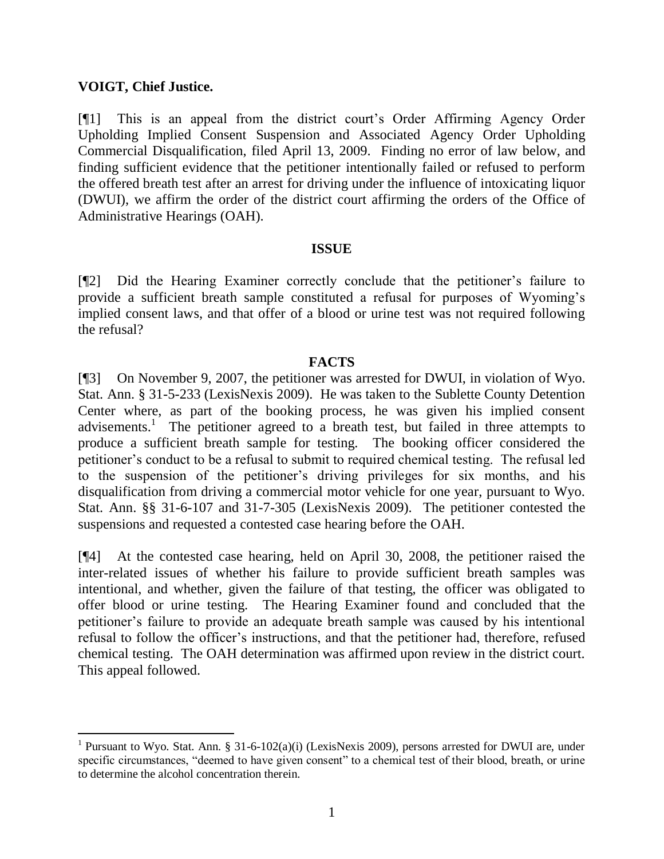## **VOIGT, Chief Justice.**

[¶1] This is an appeal from the district court's Order Affirming Agency Order Upholding Implied Consent Suspension and Associated Agency Order Upholding Commercial Disqualification, filed April 13, 2009. Finding no error of law below, and finding sufficient evidence that the petitioner intentionally failed or refused to perform the offered breath test after an arrest for driving under the influence of intoxicating liquor (DWUI), we affirm the order of the district court affirming the orders of the Office of Administrative Hearings (OAH).

## **ISSUE**

[¶2] Did the Hearing Examiner correctly conclude that the petitioner's failure to provide a sufficient breath sample constituted a refusal for purposes of Wyoming's implied consent laws, and that offer of a blood or urine test was not required following the refusal?

#### **FACTS**

[¶3] On November 9, 2007, the petitioner was arrested for DWUI, in violation of Wyo. Stat. Ann. § 31-5-233 (LexisNexis 2009). He was taken to the Sublette County Detention Center where, as part of the booking process, he was given his implied consent advisements.<sup>1</sup> The petitioner agreed to a breath test, but failed in three attempts to produce a sufficient breath sample for testing. The booking officer considered the petitioner's conduct to be a refusal to submit to required chemical testing. The refusal led to the suspension of the petitioner's driving privileges for six months, and his disqualification from driving a commercial motor vehicle for one year, pursuant to Wyo. Stat. Ann. §§ 31-6-107 and 31-7-305 (LexisNexis 2009). The petitioner contested the suspensions and requested a contested case hearing before the OAH.

[¶4] At the contested case hearing, held on April 30, 2008, the petitioner raised the inter-related issues of whether his failure to provide sufficient breath samples was intentional, and whether, given the failure of that testing, the officer was obligated to offer blood or urine testing. The Hearing Examiner found and concluded that the petitioner's failure to provide an adequate breath sample was caused by his intentional refusal to follow the officer's instructions, and that the petitioner had, therefore, refused chemical testing. The OAH determination was affirmed upon review in the district court. This appeal followed.

<sup>&</sup>lt;sup>1</sup> Pursuant to Wyo. Stat. Ann. § 31-6-102(a)(i) (LexisNexis 2009), persons arrested for DWUI are, under specific circumstances, "deemed to have given consent" to a chemical test of their blood, breath, or urine to determine the alcohol concentration therein.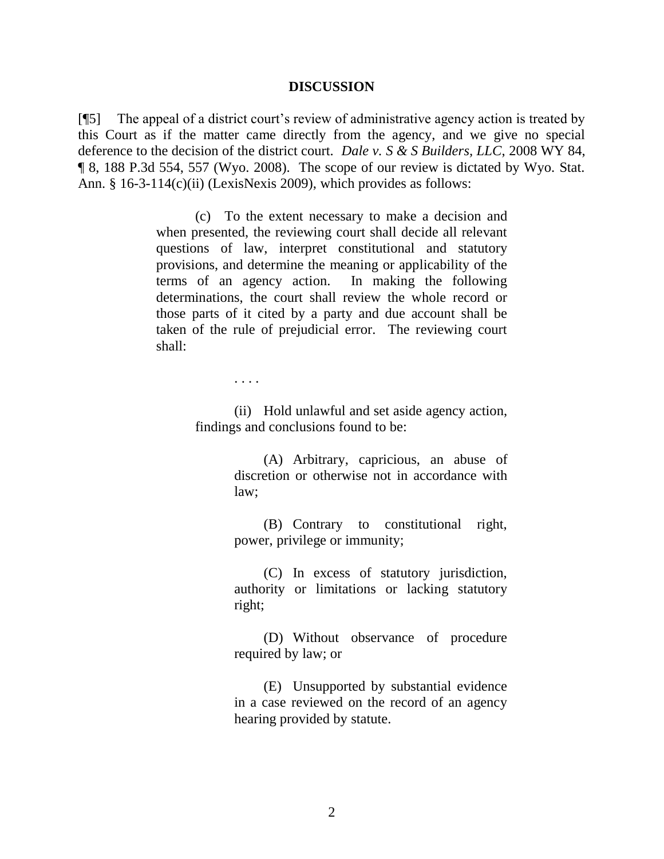#### **DISCUSSION**

[¶5] The appeal of a district court's review of administrative agency action is treated by this Court as if the matter came directly from the agency, and we give no special deference to the decision of the district court. *Dale v. S & S Builders, LLC*, 2008 WY 84, ¶ 8, 188 P.3d 554, 557 (Wyo. 2008). The scope of our review is dictated by Wyo. Stat. Ann. § 16-3-114(c)(ii) (LexisNexis 2009), which provides as follows:

> (c) To the extent necessary to make a decision and when presented, the reviewing court shall decide all relevant questions of law, interpret constitutional and statutory provisions, and determine the meaning or applicability of the terms of an agency action. In making the following determinations, the court shall review the whole record or those parts of it cited by a party and due account shall be taken of the rule of prejudicial error. The reviewing court shall:

> > . . . .

(ii) Hold unlawful and set aside agency action, findings and conclusions found to be:

> (A) Arbitrary, capricious, an abuse of discretion or otherwise not in accordance with law;

> (B) Contrary to constitutional right, power, privilege or immunity;

> (C) In excess of statutory jurisdiction, authority or limitations or lacking statutory right;

> (D) Without observance of procedure required by law; or

> (E) Unsupported by substantial evidence in a case reviewed on the record of an agency hearing provided by statute.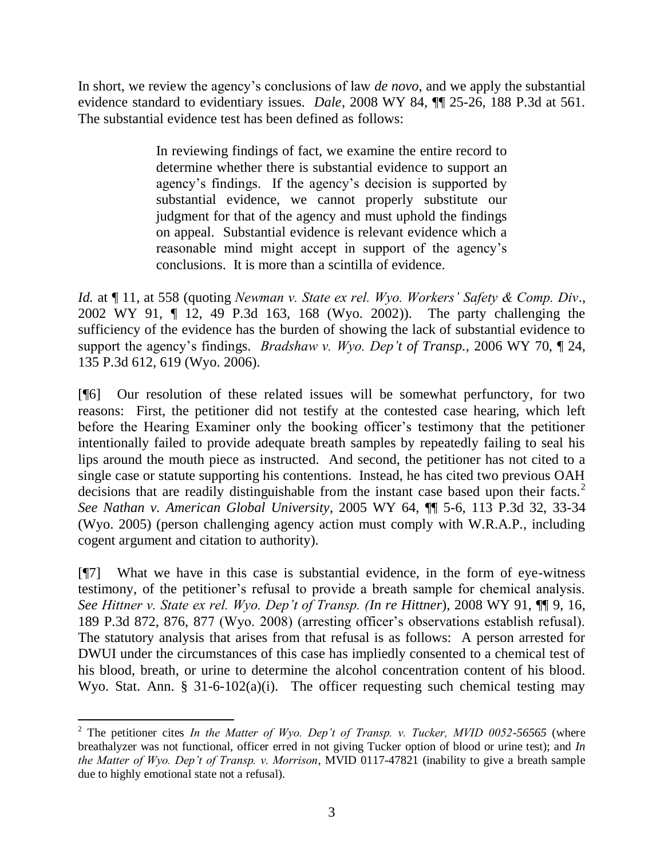In short, we review the agency's conclusions of law *de novo*, and we apply the substantial evidence standard to evidentiary issues. *Dale*, 2008 WY 84, ¶¶ 25-26, 188 P.3d at 561. The substantial evidence test has been defined as follows:

> In reviewing findings of fact, we examine the entire record to determine whether there is substantial evidence to support an agency's findings. If the agency's decision is supported by substantial evidence, we cannot properly substitute our judgment for that of the agency and must uphold the findings on appeal. Substantial evidence is relevant evidence which a reasonable mind might accept in support of the agency's conclusions. It is more than a scintilla of evidence.

*Id.* at ¶ 11, at 558 (quoting *Newman v. State ex rel. Wyo. Workers' Safety & Comp. Div*., 2002 WY 91, ¶ 12, 49 P.3d 163, 168 (Wyo. 2002)). The party challenging the sufficiency of the evidence has the burden of showing the lack of substantial evidence to support the agency's findings. *Bradshaw v. Wyo. Dep't of Transp.*, 2006 WY 70, ¶ 24, 135 P.3d 612, 619 (Wyo. 2006).

[¶6] Our resolution of these related issues will be somewhat perfunctory, for two reasons: First, the petitioner did not testify at the contested case hearing, which left before the Hearing Examiner only the booking officer's testimony that the petitioner intentionally failed to provide adequate breath samples by repeatedly failing to seal his lips around the mouth piece as instructed. And second, the petitioner has not cited to a single case or statute supporting his contentions. Instead, he has cited two previous OAH decisions that are readily distinguishable from the instant case based upon their facts.<sup>2</sup> *See Nathan v. American Global University*, 2005 WY 64, ¶¶ 5-6, 113 P.3d 32, 33-34 (Wyo. 2005) (person challenging agency action must comply with W.R.A.P., including cogent argument and citation to authority).

[¶7] What we have in this case is substantial evidence, in the form of eye-witness testimony, of the petitioner's refusal to provide a breath sample for chemical analysis. *See Hittner v. State ex rel. Wyo. Dep't of Transp. (In re Hittner*), 2008 WY 91, ¶¶ 9, 16, 189 P.3d 872, 876, 877 (Wyo. 2008) (arresting officer's observations establish refusal). The statutory analysis that arises from that refusal is as follows: A person arrested for DWUI under the circumstances of this case has impliedly consented to a chemical test of his blood, breath, or urine to determine the alcohol concentration content of his blood. Wyo. Stat. Ann. § 31-6-102(a)(i). The officer requesting such chemical testing may

 <sup>2</sup> The petitioner cites *In the Matter of Wyo. Dep't of Transp. v. Tucker, MVID 0052-56565* (where breathalyzer was not functional, officer erred in not giving Tucker option of blood or urine test); and *In the Matter of Wyo. Dep't of Transp. v. Morrison*, MVID 0117-47821 (inability to give a breath sample due to highly emotional state not a refusal).